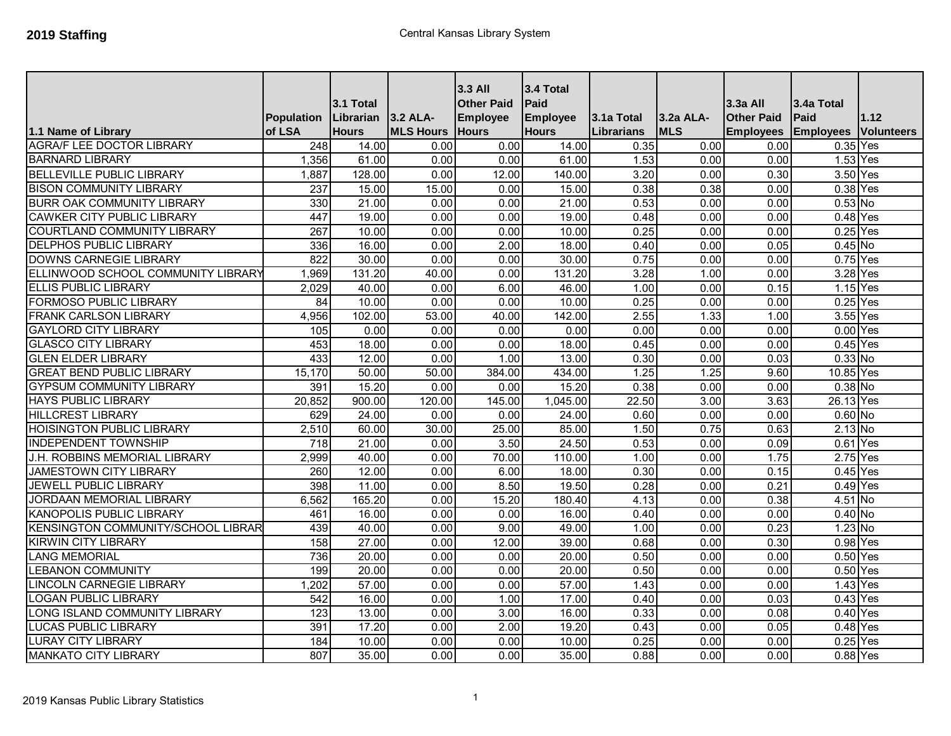|                                    | Population       | 3.1 Total<br>Librarian | 3.2 ALA-         | 3.3 All<br><b>Other Paid</b><br><b>Employee</b> | 3.4 Total<br>Paid<br><b>Employee</b> | 3.1a Total        | <b>3.2a ALA-</b> | $3.3a$ All<br><b>Other Paid</b> | 3.4a Total<br>Paid | 1.12              |
|------------------------------------|------------------|------------------------|------------------|-------------------------------------------------|--------------------------------------|-------------------|------------------|---------------------------------|--------------------|-------------------|
| 1.1 Name of Library                | of LSA           | <b>Hours</b>           | <b>MLS Hours</b> | <b>Hours</b>                                    | <b>Hours</b>                         | <b>Librarians</b> | <b>MLS</b>       | <b>Employees</b>                | <b>Employees</b>   | <b>Volunteers</b> |
| <b>AGRA/F LEE DOCTOR LIBRARY</b>   | $\overline{248}$ | 14.00                  | 0.00             | 0.00                                            | 14.00                                | 0.35              | 0.00             | 0.00                            | $0.35$ Yes         |                   |
| <b>BARNARD LIBRARY</b>             | 1,356            | 61.00                  | 0.00             | 0.00                                            | 61.00                                | 1.53              | 0.00             | 0.00                            | 1.53 Yes           |                   |
| <b>BELLEVILLE PUBLIC LIBRARY</b>   | 1,887            | 128.00                 | 0.00             | 12.00                                           | 140.00                               | 3.20              | 0.00             | 0.30                            | 3.50 Yes           |                   |
| <b>BISON COMMUNITY LIBRARY</b>     | 237              | 15.00                  | 15.00            | 0.00                                            | 15.00                                | 0.38              | 0.38             | 0.00                            | $0.38$ Yes         |                   |
| <b>BURR OAK COMMUNITY LIBRARY</b>  | 330              | 21.00                  | 0.00             | 0.00                                            | 21.00                                | 0.53              | 0.00             | 0.00                            | $0.53$ No          |                   |
| <b>CAWKER CITY PUBLIC LIBRARY</b>  | 447              | 19.00                  | 0.00             | 0.00                                            | 19.00                                | 0.48              | 0.00             | 0.00                            | $0.48$ Yes         |                   |
| <b>COURTLAND COMMUNITY LIBRARY</b> | 267              | 10.00                  | 0.00             | 0.00                                            | 10.00                                | 0.25              | 0.00             | 0.00                            | $0.25$ Yes         |                   |
| <b>DELPHOS PUBLIC LIBRARY</b>      | 336              | 16.00                  | 0.00             | 2.00                                            | 18.00                                | 0.40              | 0.00             | 0.05                            | $0.45$ No          |                   |
| <b>DOWNS CARNEGIE LIBRARY</b>      | 822              | 30.00                  | 0.00             | 0.00                                            | 30.00                                | 0.75              | 0.00             | 0.00                            | $0.75$ Yes         |                   |
| ELLINWOOD SCHOOL COMMUNITY LIBRARY | 1,969            | 131.20                 | 40.00            | 0.00                                            | 131.20                               | 3.28              | 1.00             | 0.00                            | 3.28 Yes           |                   |
| <b>ELLIS PUBLIC LIBRARY</b>        | 2,029            | 40.00                  | 0.00             | 6.00                                            | 46.00                                | 1.00              | 0.00             | 0.15                            | 1.15 Yes           |                   |
| <b>FORMOSO PUBLIC LIBRARY</b>      | 84               | 10.00                  | 0.00             | 0.00                                            | 10.00                                | 0.25              | 0.00             | 0.00                            | $0.25$ Yes         |                   |
| <b>FRANK CARLSON LIBRARY</b>       | 4,956            | 102.00                 | 53.00            | 40.00                                           | 142.00                               | 2.55              | 1.33             | 1.00                            | $3.55$ Yes         |                   |
| <b>GAYLORD CITY LIBRARY</b>        | 105              | 0.00                   | 0.00             | 0.00                                            | 0.00                                 | 0.00              | 0.00             | 0.00                            | $0.00$ Yes         |                   |
| <b>GLASCO CITY LIBRARY</b>         | 453              | 18.00                  | 0.00             | 0.00                                            | 18.00                                | 0.45              | 0.00             | 0.00                            | $0.45$ Yes         |                   |
| <b>GLEN ELDER LIBRARY</b>          | 433              | 12.00                  | 0.00             | 1.00                                            | 13.00                                | 0.30              | 0.00             | 0.03                            | $0.33$ No          |                   |
| <b>GREAT BEND PUBLIC LIBRARY</b>   | 15,170           | 50.00                  | 50.00            | 384.00                                          | 434.00                               | 1.25              | 1.25             | 9.60                            | 10.85 Yes          |                   |
| <b>GYPSUM COMMUNITY LIBRARY</b>    | 391              | 15.20                  | 0.00             | 0.00                                            | 15.20                                | 0.38              | 0.00             | 0.00                            | $0.38$ No          |                   |
| <b>HAYS PUBLIC LIBRARY</b>         | 20,852           | 900.00                 | 120.00           | 145.00                                          | 1,045.00                             | 22.50             | 3.00             | 3.63                            | 26.13 Yes          |                   |
| <b>HILLCREST LIBRARY</b>           | 629              | 24.00                  | 0.00             | 0.00                                            | 24.00                                | 0.60              | 0.00             | 0.00                            | $0.60$ No          |                   |
| <b>HOISINGTON PUBLIC LIBRARY</b>   | 2,510            | 60.00                  | 30.00            | 25.00                                           | 85.00                                | 1.50              | 0.75             | 0.63                            | $2.13$ No          |                   |
| <b>INDEPENDENT TOWNSHIP</b>        | $\overline{718}$ | 21.00                  | 0.00             | 3.50                                            | 24.50                                | 0.53              | 0.00             | 0.09                            | $0.61$ Yes         |                   |
| J.H. ROBBINS MEMORIAL LIBRARY      | 2,999            | 40.00                  | 0.00             | 70.00                                           | 110.00                               | 1.00              | 0.00             | 1.75                            | 2.75 Yes           |                   |
| <b>JAMESTOWN CITY LIBRARY</b>      | 260              | 12.00                  | 0.00             | 6.00                                            | 18.00                                | 0.30              | 0.00             | 0.15                            | $0.45$ Yes         |                   |
| <b>JEWELL PUBLIC LIBRARY</b>       | 398              | 11.00                  | 0.00             | 8.50                                            | 19.50                                | 0.28              | 0.00             | 0.21                            | $0.49$ Yes         |                   |
| JORDAAN MEMORIAL LIBRARY           | 6,562            | 165.20                 | 0.00             | 15.20                                           | 180.40                               | 4.13              | 0.00             | 0.38                            | 4.51 No            |                   |
| <b>KANOPOLIS PUBLIC LIBRARY</b>    | 461              | 16.00                  | 0.00             | 0.00                                            | 16.00                                | 0.40              | 0.00             | 0.00                            | $0.40$ No          |                   |
| KENSINGTON COMMUNITY/SCHOOL LIBRAR | 439              | 40.00                  | 0.00             | 9.00                                            | 49.00                                | 1.00              | 0.00             | 0.23                            | $1.23$ No          |                   |
| <b>KIRWIN CITY LIBRARY</b>         | 158              | 27.00                  | 0.00             | 12.00                                           | 39.00                                | 0.68              | 0.00             | 0.30                            | $0.98$ Yes         |                   |
| <b>LANG MEMORIAL</b>               | 736              | 20.00                  | 0.00             | 0.00                                            | 20.00                                | 0.50              | 0.00             | 0.00                            | $0.50$ Yes         |                   |
| <b>LEBANON COMMUNITY</b>           | 199              | 20.00                  | 0.00             | 0.00                                            | 20.00                                | 0.50              | 0.00             | 0.00                            | $0.50$ Yes         |                   |
| <b>LINCOLN CARNEGIE LIBRARY</b>    | 1,202            | 57.00                  | 0.00             | 0.00                                            | 57.00                                | 1.43              | 0.00             | 0.00                            | 1.43 Yes           |                   |
| <b>LOGAN PUBLIC LIBRARY</b>        | 542              | 16.00                  | 0.00             | 1.00                                            | 17.00                                | 0.40              | 0.00             | 0.03                            | $0.43$ Yes         |                   |
| LONG ISLAND COMMUNITY LIBRARY      | 123              | 13.00                  | 0.00             | 3.00                                            | 16.00                                | 0.33              | 0.00             | 0.08                            | $0.40$ Yes         |                   |
| LUCAS PUBLIC LIBRARY               | 391              | 17.20                  | 0.00             | 2.00                                            | 19.20                                | 0.43              | 0.00             | 0.05                            | $0.48$ Yes         |                   |
| <b>LURAY CITY LIBRARY</b>          | 184              | 10.00                  | 0.00             | 0.00                                            | 10.00                                | 0.25              | 0.00             | 0.00                            | $0.25$ Yes         |                   |
| <b>MANKATO CITY LIBRARY</b>        | 807              | 35.00                  | 0.00             | 0.00                                            | 35.00                                | 0.88              | 0.00             | 0.00                            | 0.88 Yes           |                   |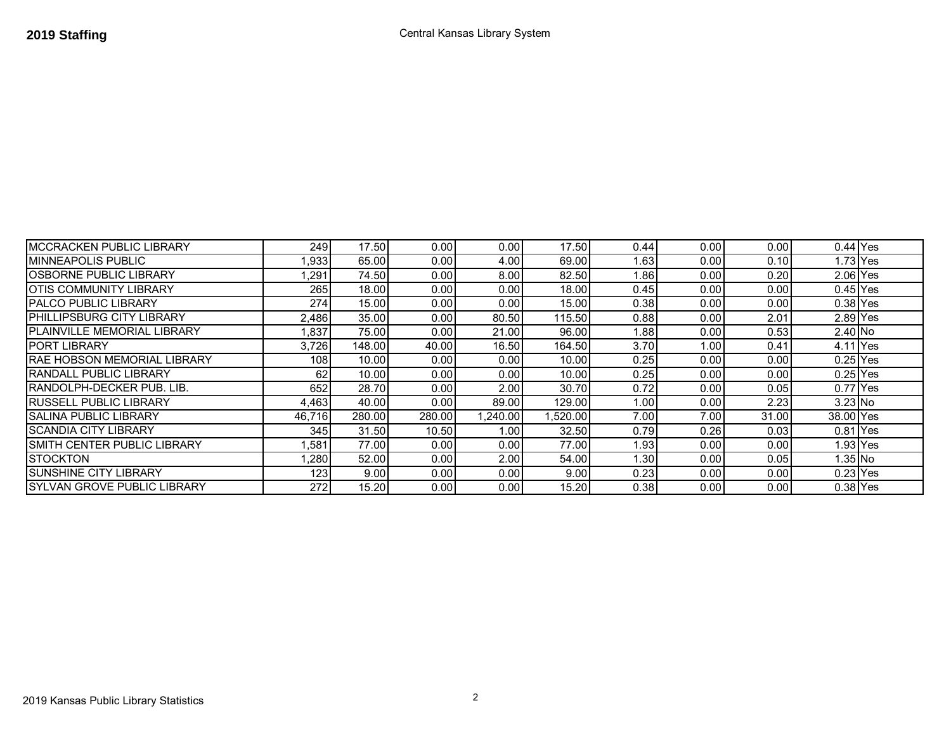| <b>MCCRACKEN PUBLIC LIBRARY</b> | 249    | 17.50  | 0.00   | 0.00    | 17.50    | 0.44  | 0.00 | 0.001 | $0.44$ Yes |  |
|---------------------------------|--------|--------|--------|---------|----------|-------|------|-------|------------|--|
| <b>MINNEAPOLIS PUBLIC</b>       | .933   | 65.00  | 0.00   | 4.00    | 69.00    | 1.631 | 0.00 | 0.10  | $1.73$ Yes |  |
| OSBORNE PUBLIC LIBRARY          | .291   | 74.50  | 0.00   | 8.00    | 82.50    | ∣.86  | 0.00 | 0.20  | $2.06$ Yes |  |
| OTIS COMMUNITY LIBRARY          | 265    | 18.00  | 0.00   | 0.00    | 18.00    | 0.45  | 0.00 | 0.00  | $0.45$ Yes |  |
| <b>PALCO PUBLIC LIBRARY</b>     | 274    | 15.00  | 0.00   | 0.00    | 15.00    | 0.38  | 0.00 | 0.00  | $0.38$ Yes |  |
| PHILLIPSBURG CITY LIBRARY       | 2,486  | 35.00  | 0.00   | 80.50   | 115.50   | 0.88  | 0.00 | 2.01  | 2.89 Yes   |  |
| PLAINVILLE MEMORIAL LIBRARY     | 1,837  | 75.00  | 0.00   | 21.00   | 96.00    | 1.881 | 0.00 | 0.53  | 2.40 No    |  |
| <b>PORT LIBRARY</b>             | 3,726  | 148.00 | 40.00  | 16.50   | 164.50   | 3.70  | 1.00 | 0.41  | 4.11 Yes   |  |
| RAE HOBSON MEMORIAL LIBRARY     | 108    | 10.00  | 0.00   | 0.00    | 10.00    | 0.25  | 0.00 | 0.00  | $0.25$ Yes |  |
| RANDALL PUBLIC LIBRARY          | 62     | 10.00  | 0.00   | 0.00    | 10.00    | 0.25  | 0.00 | 0.00  | $0.25$ Yes |  |
| RANDOLPH-DECKER PUB. LIB.       | 652    | 28.70  | 0.00   | 2.00    | 30.70    | 0.72  | 0.00 | 0.05  | $0.77$ Yes |  |
| RUSSELL PUBLIC LIBRARY          | 4,463  | 40.00  | 0.00   | 89.00   | 129.00   | 1.00  | 0.00 | 2.23  | 3.23 No    |  |
| <b>SALINA PUBLIC LIBRARY</b>    | 46.716 | 280.00 | 280.00 | .240.00 | 1,520.00 | 7.00  | 7.00 | 31.00 | 38.00 Yes  |  |
| <b>SCANDIA CITY LIBRARY</b>     | 3451   | 31.50  | 10.50  | 1.00    | 32.50    | 0.79  | 0.26 | 0.03  | 0.81 Yes   |  |
| SMITH CENTER PUBLIC LIBRARY     | ,581   | 77.00  | 0.00   | 0.00    | 77.00    | 1.93  | 0.00 | 0.00  | 1.93 Yes   |  |
| <b>STOCKTON</b>                 | .280   | 52.00  | 0.00   | 2.00    | 54.00    | 1.301 | 0.00 | 0.05  | 1.35 No    |  |
| <b>SUNSHINE CITY LIBRARY</b>    | 123    | 9.00   | 0.00   | 0.00    | 9.00     | 0.23  | 0.00 | 0.00  | $0.23$ Yes |  |
| SYLVAN GROVE PUBLIC LIBRARY     | 272    | 15.20  | 0.00   | 0.00    | 15.20    | 0.38  | 0.00 | 0.00  | $0.38$ Yes |  |

2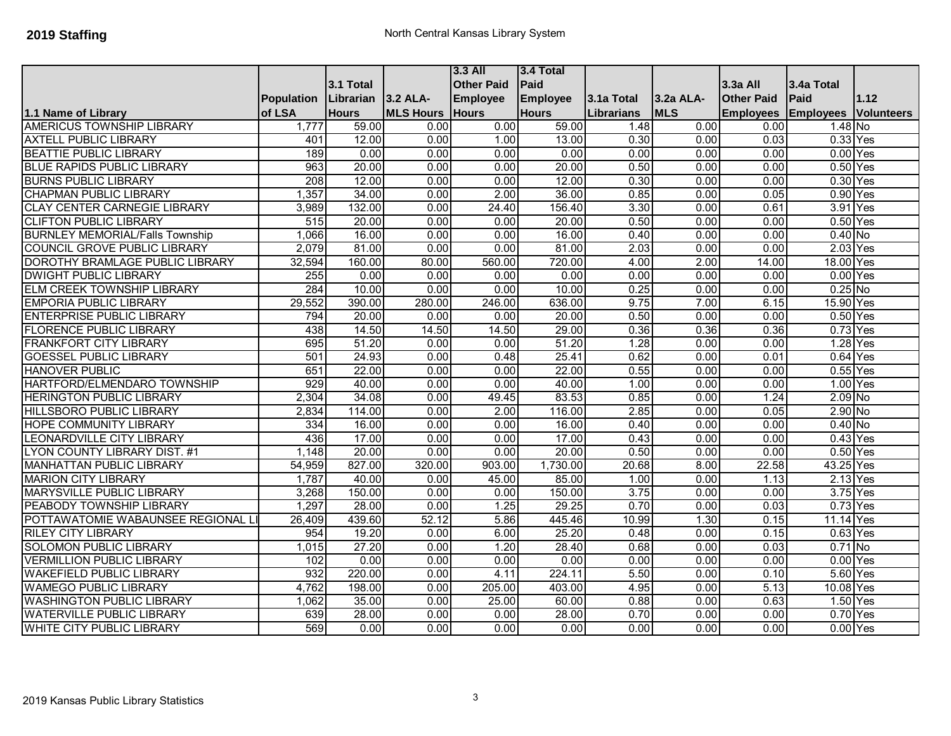|                                        |                   |              |                  | $3.3$ All         | 3.4 Total       |                   |            |                   |                  |                   |
|----------------------------------------|-------------------|--------------|------------------|-------------------|-----------------|-------------------|------------|-------------------|------------------|-------------------|
|                                        |                   | 3.1 Total    |                  | <b>Other Paid</b> | Paid            |                   |            | 3.3a All          | 3.4a Total       |                   |
|                                        | <b>Population</b> | Librarian    | 3.2 ALA-         | <b>Employee</b>   | <b>Employee</b> | 3.1a Total        | 3.2a ALA-  | <b>Other Paid</b> | Paid             | 1.12              |
| 1.1 Name of Library                    | of LSA            | <b>Hours</b> | <b>MLS Hours</b> | Hours             | <b>Hours</b>    | <b>Librarians</b> | <b>MLS</b> | <b>Employees</b>  | <b>Employees</b> | <b>Volunteers</b> |
| <b>AMERICUS TOWNSHIP LIBRARY</b>       | 1,777             | 59.00        | 0.00             | 0.00              | 59.00           | 1.48              | 0.00       | 0.00              | 1.48 No          |                   |
| <b>AXTELL PUBLIC LIBRARY</b>           | 401               | 12.00        | 0.00             | 1.00              | 13.00           | 0.30              | 0.00       | 0.03              | 0.33 Yes         |                   |
| <b>BEATTIE PUBLIC LIBRARY</b>          | 189               | 0.00         | 0.00             | 0.00              | 0.00            | 0.00              | 0.00       | 0.00              | $0.00$ Yes       |                   |
| <b>BLUE RAPIDS PUBLIC LIBRARY</b>      | 963               | 20.00        | 0.00             | 0.00              | 20.00           | 0.50              | 0.00       | 0.00              | $0.50$ Yes       |                   |
| <b>BURNS PUBLIC LIBRARY</b>            | 208               | 12.00        | 0.00             | 0.00              | 12.00           | 0.30              | 0.00       | 0.00              | 0.30 Yes         |                   |
| <b>CHAPMAN PUBLIC LIBRARY</b>          | 1,357             | 34.00        | 0.00             | 2.00              | 36.00           | 0.85              | 0.00       | 0.05              | $0.90$ Yes       |                   |
| <b>CLAY CENTER CARNEGIE LIBRARY</b>    | 3,989             | 132.00       | 0.00             | 24.40             | 156.40          | 3.30              | 0.00       | 0.61              | 3.91 Yes         |                   |
| <b>CLIFTON PUBLIC LIBRARY</b>          | $\overline{515}$  | 20.00        | 0.00             | 0.00              | 20.00           | 0.50              | 0.00       | 0.00              | 0.50 Yes         |                   |
| <b>BURNLEY MEMORIAL/Falls Township</b> | 1,066             | 16.00        | 0.00             | 0.00              | 16.00           | 0.40              | 0.00       | 0.00              | $0.40$ No        |                   |
| <b>COUNCIL GROVE PUBLIC LIBRARY</b>    | 2,079             | 81.00        | 0.00             | 0.00              | 81.00           | 2.03              | 0.00       | 0.00              | 2.03 Yes         |                   |
| <b>DOROTHY BRAMLAGE PUBLIC LIBRARY</b> | 32,594            | 160.00       | 80.00            | 560.00            | 720.00          | 4.00              | 2.00       | 14.00             | 18.00 Yes        |                   |
| <b>DWIGHT PUBLIC LIBRARY</b>           | 255               | 0.00         | 0.00             | 0.00              | 0.00            | 0.00              | 0.00       | 0.00              | $0.00$ Yes       |                   |
| ELM CREEK TOWNSHIP LIBRARY             | 284               | 10.00        | 0.00             | 0.00              | 10.00           | 0.25              | 0.00       | 0.00              | $0.25$ No        |                   |
| <b>EMPORIA PUBLIC LIBRARY</b>          | 29,552            | 390.00       | 280.00           | 246.00            | 636.00          | 9.75              | 7.00       | 6.15              | 15.90 Yes        |                   |
| <b>ENTERPRISE PUBLIC LIBRARY</b>       | 794               | 20.00        | 0.00             | 0.00              | 20.00           | 0.50              | 0.00       | 0.00              | $0.50$ Yes       |                   |
| <b>FLORENCE PUBLIC LIBRARY</b>         | 438               | 14.50        | 14.50            | 14.50             | 29.00           | 0.36              | 0.36       | 0.36              | 0.73 Yes         |                   |
| <b>FRANKFORT CITY LIBRARY</b>          | 695               | 51.20        | 0.00             | 0.00              | 51.20           | 1.28              | 0.00       | 0.00              | 1.28 Yes         |                   |
| <b>GOESSEL PUBLIC LIBRARY</b>          | 501               | 24.93        | 0.00             | 0.48              | 25.41           | 0.62              | 0.00       | 0.01              | $0.64$ Yes       |                   |
| <b>HANOVER PUBLIC</b>                  | 651               | 22.00        | 0.00             | 0.00              | 22.00           | 0.55              | 0.00       | 0.00              | $0.55$ Yes       |                   |
| HARTFORD/ELMENDARO TOWNSHIP            | 929               | 40.00        | 0.00             | 0.00              | 40.00           | 1.00              | 0.00       | 0.00              | 1.00 Yes         |                   |
| <b>HERINGTON PUBLIC LIBRARY</b>        | 2,304             | 34.08        | 0.00             | 49.45             | 83.53           | 0.85              | 0.00       | 1.24              | $2.09$ No        |                   |
| <b>HILLSBORO PUBLIC LIBRARY</b>        | 2,834             | 114.00       | 0.00             | 2.00              | 116.00          | 2.85              | 0.00       | 0.05              | $2.90$ No        |                   |
| <b>HOPE COMMUNITY LIBRARY</b>          | 334               | 16.00        | 0.00             | 0.00              | 16.00           | 0.40              | 0.00       | 0.00              | $0.40$ No        |                   |
| <b>LEONARDVILLE CITY LIBRARY</b>       | 436               | 17.00        | 0.00             | 0.00              | 17.00           | 0.43              | 0.00       | 0.00              | $0.43$ Yes       |                   |
| LYON COUNTY LIBRARY DIST. #1           | 1,148             | 20.00        | 0.00             | 0.00              | 20.00           | 0.50              | 0.00       | 0.00              | $0.50$ Yes       |                   |
| <b>MANHATTAN PUBLIC LIBRARY</b>        | 54,959            | 827.00       | 320.00           | 903.00            | 1,730.00        | 20.68             | 8.00       | 22.58             | 43.25 Yes        |                   |
| <b>MARION CITY LIBRARY</b>             | 1,787             | 40.00        | 0.00             | 45.00             | 85.00           | 1.00              | 0.00       | 1.13              | 2.13 Yes         |                   |
| <b>MARYSVILLE PUBLIC LIBRARY</b>       | 3,268             | 150.00       | 0.00             | 0.00              | 150.00          | 3.75              | 0.00       | 0.00              | 3.75 Yes         |                   |
| PEABODY TOWNSHIP LIBRARY               | 1,297             | 28.00        | 0.00             | 1.25              | 29.25           | 0.70              | 0.00       | 0.03              | 0.73 Yes         |                   |
| POTTAWATOMIE WABAUNSEE REGIONAL I      | 26,409            | 439.60       | 52.12            | 5.86              | 445.46          | 10.99             | 1.30       | 0.15              | 11.14 Yes        |                   |
| <b>RILEY CITY LIBRARY</b>              | 954               | 19.20        | 0.00             | 6.00              | 25.20           | 0.48              | 0.00       | 0.15              | $0.63$ Yes       |                   |
| <b>SOLOMON PUBLIC LIBRARY</b>          | 1,015             | 27.20        | 0.00             | 1.20              | 28.40           | 0.68              | 0.00       | 0.03              | $0.71$ No        |                   |
| <b>VERMILLION PUBLIC LIBRARY</b>       | 102               | 0.00         | 0.00             | 0.00              | 0.00            | 0.00              | 0.00       | 0.00              | $0.00$ Yes       |                   |
| <b>WAKEFIELD PUBLIC LIBRARY</b>        | 932               | 220.00       | 0.00             | 4.11              | 224.11          | 5.50              | 0.00       | 0.10              | 5.60 Yes         |                   |
| <b>WAMEGO PUBLIC LIBRARY</b>           | 4,762             | 198.00       | 0.00             | 205.00            | 403.00          | 4.95              | 0.00       | $\overline{5.13}$ | 10.08 Yes        |                   |
| <b>WASHINGTON PUBLIC LIBRARY</b>       | 1,062             | 35.00        | 0.00             | 25.00             | 60.00           | 0.88              | 0.00       | 0.63              | 1.50 Yes         |                   |
| <b>WATERVILLE PUBLIC LIBRARY</b>       | 639               | 28.00        | 0.00             | 0.00              | 28.00           | 0.70              | 0.00       | 0.00              | 0.70 Yes         |                   |
| <b>WHITE CITY PUBLIC LIBRARY</b>       | 569               | 0.00         | 0.00             | 0.00              | 0.00            | 0.00              | 0.00       | 0.00              | $0.00$ Yes       |                   |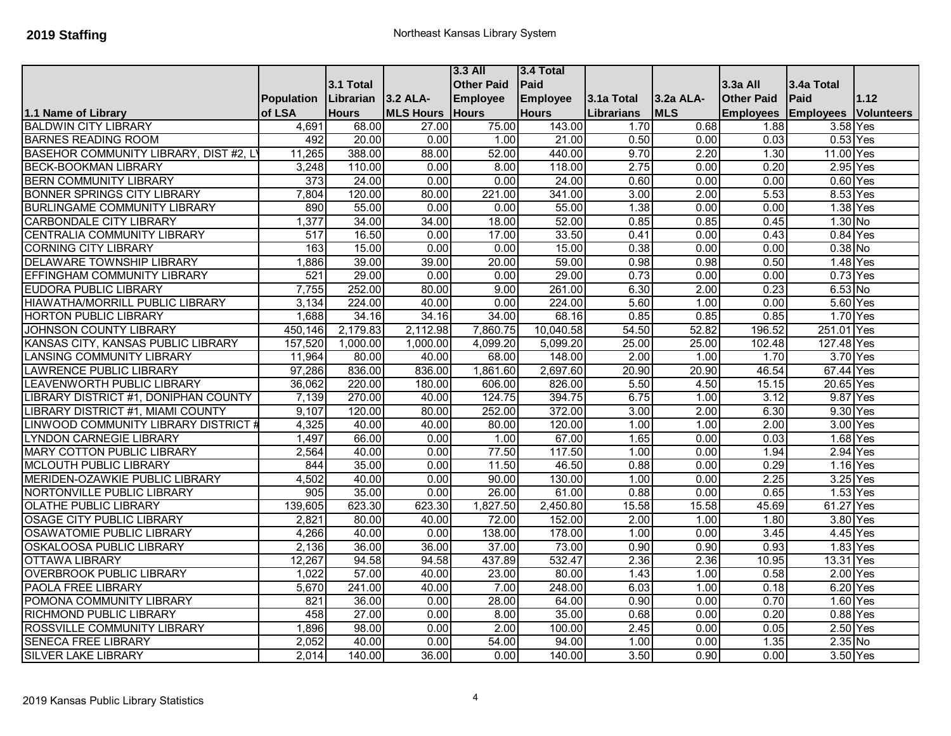|                                        |            |              |                  | $3.3$ All         | 3.4 Total       |            |            |                   |                  |                   |
|----------------------------------------|------------|--------------|------------------|-------------------|-----------------|------------|------------|-------------------|------------------|-------------------|
|                                        |            | 3.1 Total    |                  | <b>Other Paid</b> | Paid            |            |            | 3.3a All          | 3.4a Total       |                   |
|                                        | Population | Librarian    | 3.2 ALA-         | <b>Employee</b>   | <b>Employee</b> | 3.1a Total | 3.2a ALA-  | <b>Other Paid</b> | Paid             | 1.12              |
| 1.1 Name of Library                    | of LSA     | <b>Hours</b> | <b>MLS Hours</b> | <b>Hours</b>      | <b>Hours</b>    | Librarians | <b>MLS</b> | <b>Employees</b>  | <b>Employees</b> | <b>Volunteers</b> |
| <b>BALDWIN CITY LIBRARY</b>            | 4,691      | 68.00        | 27.00            | 75.00             | 143.00          | 1.70       | 0.68       | 1.88              | 3.58 Yes         |                   |
| <b>BARNES READING ROOM</b>             | 492        | 20.00        | 0.00             | 1.00              | 21.00           | 0.50       | 0.00       | 0.03              | $0.53$ Yes       |                   |
| BASEHOR COMMUNITY LIBRARY, DIST #2, L  | 11,265     | 388.00       | 88.00            | 52.00             | 440.00          | 9.70       | 2.20       | 1.30              | 11.00 Yes        |                   |
| <b>BECK-BOOKMAN LIBRARY</b>            | 3,248      | 110.00       | 0.00             | 8.00              | 118.00          | 2.75       | 0.00       | 0.20              | 2.95 Yes         |                   |
| <b>BERN COMMUNITY LIBRARY</b>          | 373        | 24.00        | 0.00             | 0.00              | 24.00           | 0.60       | 0.00       | 0.00              | $0.60$ Yes       |                   |
| <b>BONNER SPRINGS CITY LIBRARY</b>     | 7,804      | 120.00       | 80.00            | 221.00            | 341.00          | 3.00       | 2.00       | 5.53              | 8.53 Yes         |                   |
| <b>BURLINGAME COMMUNITY LIBRARY</b>    | 890        | 55.00        | 0.00             | 0.00              | 55.00           | 1.38       | 0.00       | 0.00              | 1.38 Yes         |                   |
| <b>CARBONDALE CITY LIBRARY</b>         | 1,377      | 34.00        | 34.00            | 18.00             | 52.00           | 0.85       | 0.85       | 0.45              | 1.30 No          |                   |
| <b>CENTRALIA COMMUNITY LIBRARY</b>     | 517        | 16.50        | 0.00             | 17.00             | 33.50           | 0.41       | 0.00       | 0.43              | 0.84 Yes         |                   |
| <b>CORNING CITY LIBRARY</b>            | 163        | 15.00        | 0.00             | 0.00              | 15.00           | 0.38       | 0.00       | 0.00              | $0.38$ No        |                   |
| <b>DELAWARE TOWNSHIP LIBRARY</b>       | 1,886      | 39.00        | 39.00            | 20.00             | 59.00           | 0.98       | 0.98       | 0.50              | 1.48 Yes         |                   |
| <b>EFFINGHAM COMMUNITY LIBRARY</b>     | 521        | 29.00        | 0.00             | 0.00              | 29.00           | 0.73       | 0.00       | 0.00              | $0.73$ Yes       |                   |
| <b>EUDORA PUBLIC LIBRARY</b>           | 7,755      | 252.00       | 80.00            | 9.00              | 261.00          | 6.30       | 2.00       | 0.23              | $6.53$ No        |                   |
| <b>HIAWATHA/MORRILL PUBLIC LIBRARY</b> | 3,134      | 224.00       | 40.00            | 0.00              | 224.00          | 5.60       | 1.00       | 0.00              | 5.60 Yes         |                   |
| <b>HORTON PUBLIC LIBRARY</b>           | 1,688      | 34.16        | 34.16            | 34.00             | 68.16           | 0.85       | 0.85       | 0.85              | 1.70 Yes         |                   |
| <b>JOHNSON COUNTY LIBRARY</b>          | 450,146    | 2,179.83     | 2,112.98         | 7,860.75          | 10,040.58       | 54.50      | 52.82      | 196.52            | 251.01 Yes       |                   |
| KANSAS CITY, KANSAS PUBLIC LIBRARY     | 157,520    | 1,000.00     | 1,000.00         | 4,099.20          | 5,099.20        | 25.00      | 25.00      | 102.48            | 127.48 Yes       |                   |
| <b>LANSING COMMUNITY LIBRARY</b>       | 11,964     | 80.00        | 40.00            | 68.00             | 148.00          | 2.00       | 1.00       | 1.70              | 3.70 Yes         |                   |
| LAWRENCE PUBLIC LIBRARY                | 97,286     | 836.00       | 836.00           | 1,861.60          | 2,697.60        | 20.90      | 20.90      | 46.54             | 67.44 Yes        |                   |
| LEAVENWORTH PUBLIC LIBRARY             | 36,062     | 220.00       | 180.00           | 606.00            | 826.00          | 5.50       | 4.50       | 15.15             | 20.65 Yes        |                   |
| LIBRARY DISTRICT #1, DONIPHAN COUNTY   | 7,139      | 270.00       | 40.00            | 124.75            | 394.75          | 6.75       | 1.00       | 3.12              | 9.87 Yes         |                   |
| LIBRARY DISTRICT #1, MIAMI COUNTY      | 9,107      | 120.00       | 80.00            | 252.00            | 372.00          | 3.00       | 2.00       | 6.30              | 9.30 Yes         |                   |
| LINWOOD COMMUNITY LIBRARY DISTRICT #   | 4,325      | 40.00        | 40.00            | 80.00             | 120.00          | 1.00       | 1.00       | 2.00              | 3.00 Yes         |                   |
| <b>LYNDON CARNEGIE LIBRARY</b>         | 1,497      | 66.00        | 0.00             | 1.00              | 67.00           | 1.65       | 0.00       | 0.03              | 1.68 Yes         |                   |
| <b>MARY COTTON PUBLIC LIBRARY</b>      | 2,564      | 40.00        | 0.00             | 77.50             | 117.50          | 1.00       | 0.00       | 1.94              | 2.94             | Yes               |
| <b>MCLOUTH PUBLIC LIBRARY</b>          | 844        | 35.00        | 0.00             | 11.50             | 46.50           | 0.88       | 0.00       | 0.29              | 1.16 Yes         |                   |
| MERIDEN-OZAWKIE PUBLIC LIBRARY         | 4,502      | 40.00        | 0.00             | 90.00             | 130.00          | 1.00       | 0.00       | 2.25              | 3.25 Yes         |                   |
| NORTONVILLE PUBLIC LIBRARY             | 905        | 35.00        | 0.00             | 26.00             | 61.00           | 0.88       | 0.00       | 0.65              | 1.53 Yes         |                   |
| <b>OLATHE PUBLIC LIBRARY</b>           | 139,605    | 623.30       | 623.30           | 1,827.50          | 2,450.80        | 15.58      | 15.58      | 45.69             | 61.27 Yes        |                   |
| <b>OSAGE CITY PUBLIC LIBRARY</b>       | 2,821      | 80.00        | 40.00            | 72.00             | 152.00          | 2.00       | 1.00       | 1.80              | 3.80 Yes         |                   |
| <b>OSAWATOMIE PUBLIC LIBRARY</b>       | 4,266      | 40.00        | 0.00             | 138.00            | 178.00          | 1.00       | 0.00       | 3.45              | 4.45             | Yes               |
| <b>OSKALOOSA PUBLIC LIBRARY</b>        | 2,136      | 36.00        | 36.00            | 37.00             | 73.00           | 0.90       | 0.90       | 0.93              | 1.83 Yes         |                   |
| <b>OTTAWA LIBRARY</b>                  | 12,267     | 94.58        | 94.58            | 437.89            | 532.47          | 2.36       | 2.36       | 10.95             | 13.31 Yes        |                   |
| <b>OVERBROOK PUBLIC LIBRARY</b>        | 1,022      | 57.00        | 40.00            | 23.00             | 80.00           | 1.43       | 1.00       | 0.58              | 2.00 Yes         |                   |
| PAOLA FREE LIBRARY                     | 5,670      | 241.00       | 40.00            | 7.00              | 248.00          | 6.03       | 1.00       | 0.18              | 6.20 Yes         |                   |
| POMONA COMMUNITY LIBRARY               | 821        | 36.00        | 0.00             | 28.00             | 64.00           | 0.90       | 0.00       | 0.70              | 1.60 Yes         |                   |
| RICHMOND PUBLIC LIBRARY                | 458        | 27.00        | 0.00             | 8.00              | 35.00           | 0.68       | 0.00       | 0.20              | $0.88$ Yes       |                   |
| ROSSVILLE COMMUNITY LIBRARY            | 1,896      | 98.00        | 0.00             | 2.00              | 100.00          | 2.45       | 0.00       | 0.05              | 2.50 Yes         |                   |
| <b>SENECA FREE LIBRARY</b>             | 2,052      | 40.00        | 0.00             | 54.00             | 94.00           | 1.00       | 0.00       | 1.35              | $2.35$ No        |                   |
| <b>SILVER LAKE LIBRARY</b>             | 2,014      | 140.00       | 36.00            | 0.00              | 140.00          | 3.50       | 0.90       | 0.00              | 3.50 Yes         |                   |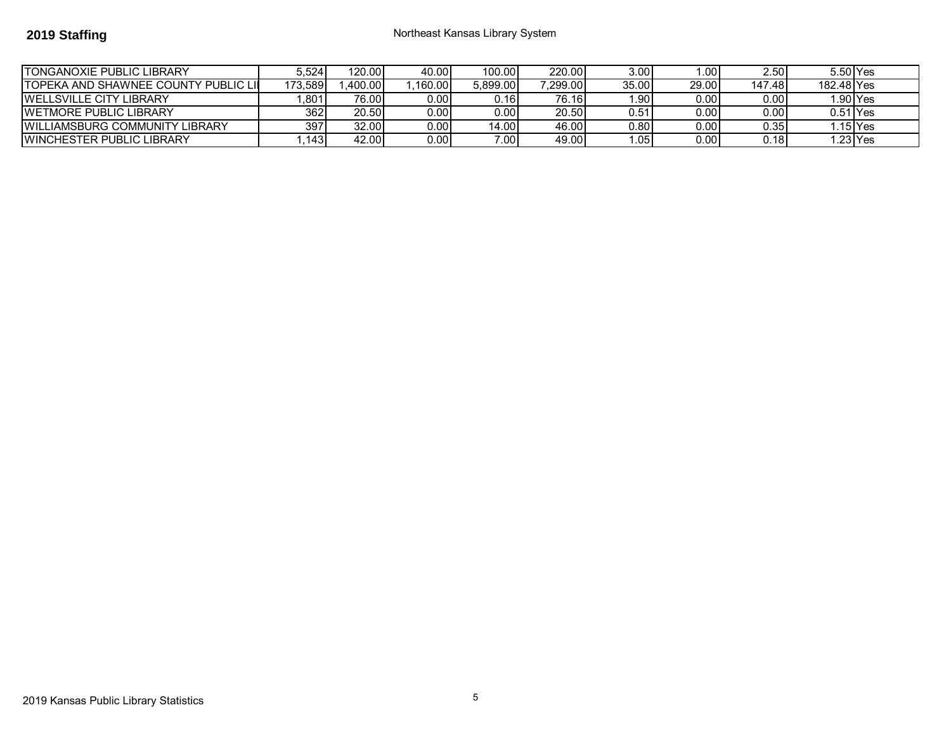## **2019 Staffing 2019 Staffing 1988 1989 Staffing Northeast Kansas Library System**

| ITONGANOXIE PUBLIC LIBRARY             | 5.524   | 120.00  | 40.00  | 100.00   | 220.00   | 3.00 <sub>l</sub> | .001  | 2.50              | 5.50 Yes   |          |
|----------------------------------------|---------|---------|--------|----------|----------|-------------------|-------|-------------------|------------|----------|
| ITOPEKA AND SHAWNEE COUNTY PUBLIC LII  | 173.589 | .400.00 | 160.00 | 5.899.00 | ا299.00. | 35.00             | 29.00 | 147.48            | 182.48 Yes |          |
| <b>IWELLSVILLE CITY LIBRARY</b>        | 801     | 76.00   | 0.00 l | 0.16I    | 76.16    | .901              | 0.00  | 0.00              |            | .90 Yes  |
| <b>IWETMORE PUBLIC LIBRARY</b>         | 362     | 20.50   | 0.00 l | 0.00     | 20.50    | 0.51              | 0.00  | 0.00              | 0.51 IYes  |          |
| <b>IWILLIAMSBURG COMMUNITY LIBRARY</b> | 397     | 32.00   | 0.00 l | 14.00    | 46.00    | 0.80 I            | 0.00  | 0.35 <sub>1</sub> |            | .15 lYes |
| <b>IWINCHESTER PUBLIC LIBRARY</b>      | .1431   | 42.00   | 0.00 l | 7.001    | 49.00    | .05               | 0.001 | 0.18              |            | .23 lYes |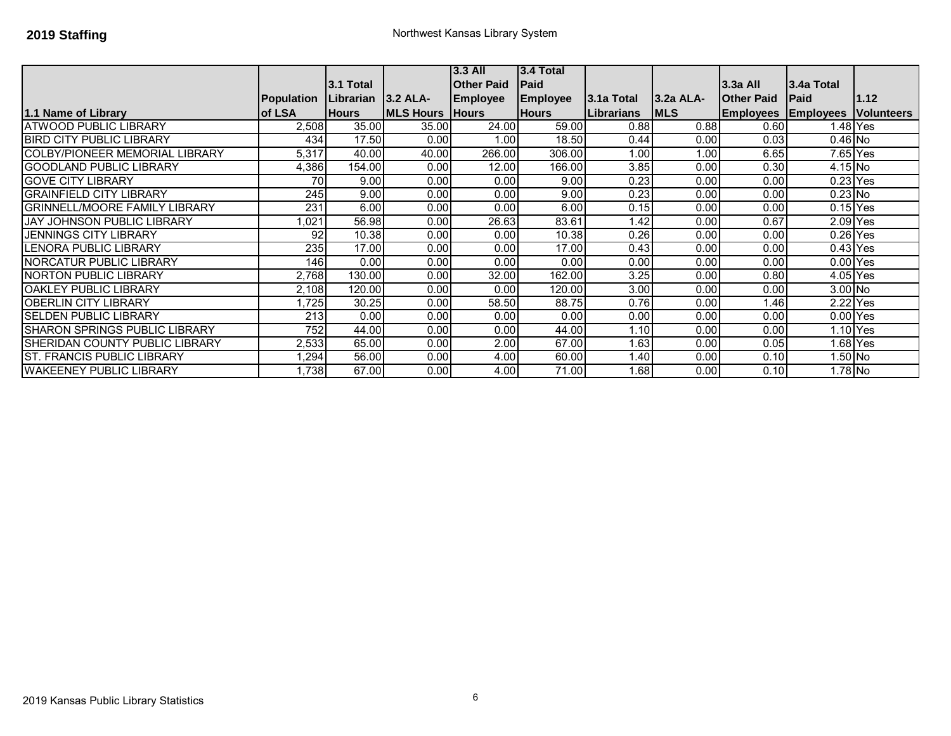|                                       |                   |                    |                  | <b>3.3 All</b>    | $3.4$ Total     |            |             |                            |             |                              |
|---------------------------------------|-------------------|--------------------|------------------|-------------------|-----------------|------------|-------------|----------------------------|-------------|------------------------------|
|                                       |                   | 3.1 Total          |                  | <b>Other Paid</b> | Paid            |            |             | $3.3a$ All                 | l3.4a Total |                              |
|                                       | <b>Population</b> | Librarian 3.2 ALA- |                  | <b>Employee</b>   | <b>Employee</b> | 3.1a Total | 3.2a ALA-   | <b>Other Paid</b>          | <b>Paid</b> | 1.12                         |
| 1.1 Name of Library                   | of LSA            | <b>Hours</b>       | <b>MLS Hours</b> | <b>Hours</b>      | <b>Hours</b>    | Librarians | <b>IMLS</b> | <b>Employees Employees</b> |             | <i><b>Nolunteers</b></i>     |
| <b>ATWOOD PUBLIC LIBRARY</b>          | 2,508             | 35.00              | 35.00            | 24.00             | 59.00           | 0.88       | 0.88        | 0.60                       |             | 1.48 Yes                     |
| <b>BIRD CITY PUBLIC LIBRARY</b>       | 434               | 17.50              | 0.00             | 1.00              | 18.50           | 0.44       | 0.00        | 0.03                       | $0.46$ No   |                              |
| <b>COLBY/PIONEER MEMORIAL LIBRARY</b> | 5,317             | 40.00              | 40.00            | 266.00            | 306.00          | 1.00       | 1.00        | 6.65                       | 7.65 Yes    |                              |
| <b>GOODLAND PUBLIC LIBRARY</b>        | 4,386             | 154.00             | 0.00             | 12.00             | 166.00          | 3.85       | 0.00        | 0.30                       | 4.15 No     |                              |
| <b>GOVE CITY LIBRARY</b>              | 70                | 9.00               | 0.00             | 0.00              | 9.00            | 0.23       | 0.00        | 0.00                       | $0.23$ Yes  |                              |
| <b>GRAINFIELD CITY LIBRARY</b>        | 245               | 9.00               | 0.00             | 0.00              | 9.00            | 0.23       | 0.00        | 0.00                       | $0.23$ No   |                              |
| <b>GRINNELL/MOORE FAMILY LIBRARY</b>  | 231               | 6.00               | 0.00             | 0.00              | 6.00            | 0.15       | 0.00        | 0.00                       | $0.15$ Yes  |                              |
| <b>JAY JOHNSON PUBLIC LIBRARY</b>     | 1,021             | 56.98              | 0.00             | 26.63             | 83.61           | 1.42       | 0.00        | 0.67                       | 2.09 Yes    |                              |
| <b>JENNINGS CITY LIBRARY</b>          | 92                | 10.38              | 0.00             | 0.00              | 10.38           | 0.26       | 0.00        | 0.00                       | 0.26 Yes    |                              |
| <b>LENORA PUBLIC LIBRARY</b>          | 235               | 17.00              | 0.00             | 0.00              | 17.00           | 0.43       | 0.00        | 0.00                       | $0.43$ Yes  |                              |
| NORCATUR PUBLIC LIBRARY               | 146 I             | 0.00               | 0.00             | 0.00              | 0.00            | 0.00       | 0.00        | 0.00                       | 0.00 Yes    |                              |
| <b>NORTON PUBLIC LIBRARY</b>          | 2,768             | 130.00             | 0.00             | 32.00             | 162.00          | 3.25       | 0.00        | 0.80                       | 4.05 Yes    |                              |
| OAKLEY PUBLIC LIBRARY                 | 2,108             | 120.00             | 0.00             | 0.00              | 120.00          | 3.00       | 0.00        | 0.00                       | 3.00 No     |                              |
| <b>OBERLIN CITY LIBRARY</b>           | 1,725             | 30.25              | 0.00             | 58.50             | 88.75           | 0.76       | 0.00        | 1.46                       | $2.22$ Yes  |                              |
| <b>SELDEN PUBLIC LIBRARY</b>          | 213               | 0.00               | 0.00             | 0.00              | 0.00            | 0.00       | 0.00        | 0.00                       | $0.00$ Yes  |                              |
| <b>SHARON SPRINGS PUBLIC LIBRARY</b>  | 752               | 44.00              | 0.00             | 0.00              | 44.00           | 1.10       | 0.00        | 0.00                       |             | 1.10 $\overline{\text{Yes}}$ |
| <b>SHERIDAN COUNTY PUBLIC LIBRARY</b> | 2,533             | 65.00              | 0.00             | 2.00              | 67.00           | 1.63       | 0.00        | 0.05                       |             | 1.68 Yes                     |
| <b>ST. FRANCIS PUBLIC LIBRARY</b>     | 1,294             | 56.00              | 0.00             | 4.00              | 60.00           | 1.40       | 0.00        | 0.10                       | $1.50$ No   |                              |
| <b>WAKEENEY PUBLIC LIBRARY</b>        | ,738              | 67.00              | 0.00             | 4.00              | 71.00           | 1.68       | 0.00        | 0.10                       | 1.78 No     |                              |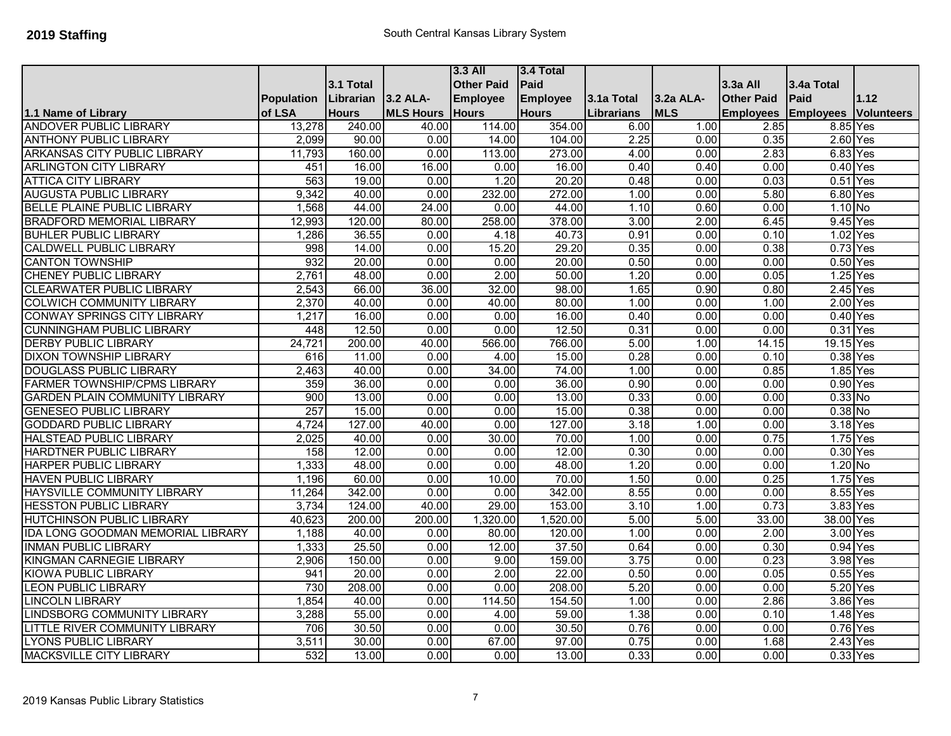|                                          |                   |              |                  | $3.3$ All         | 3.4 Total       |            |            |                   |                  |                   |
|------------------------------------------|-------------------|--------------|------------------|-------------------|-----------------|------------|------------|-------------------|------------------|-------------------|
|                                          |                   | 3.1 Total    |                  | <b>Other Paid</b> | Paid            |            |            | 3.3a All          | 3.4a Total       |                   |
|                                          | <b>Population</b> | Librarian    | 3.2 ALA-         | <b>Employee</b>   | <b>Employee</b> | 3.1a Total | 3.2a ALA-  | <b>Other Paid</b> | Paid             | 1.12              |
| 1.1 Name of Library                      | of LSA            | <b>Hours</b> | <b>MLS Hours</b> | <b>Hours</b>      | <b>Hours</b>    | Librarians | <b>MLS</b> | <b>Employees</b>  | <b>Employees</b> | <b>Volunteers</b> |
| <b>ANDOVER PUBLIC LIBRARY</b>            | 13,278            | 240.00       | 40.00            | 114.00            | 354.00          | 6.00       | 1.00       | 2.85              | 8.85 Yes         |                   |
| <b>ANTHONY PUBLIC LIBRARY</b>            | 2,099             | 90.00        | 0.00             | 14.00             | 104.00          | 2.25       | 0.00       | 0.35              | 2.60 Yes         |                   |
| ARKANSAS CITY PUBLIC LIBRARY             | 11,793            | 160.00       | 0.00             | 113.00            | 273.00          | 4.00       | 0.00       | 2.83              | 6.83 Yes         |                   |
| <b>ARLINGTON CITY LIBRARY</b>            | 451               | 16.00        | 16.00            | 0.00              | 16.00           | 0.40       | 0.40       | 0.00              | $0.40$ Yes       |                   |
| <b>ATTICA CITY LIBRARY</b>               | 563               | 19.00        | 0.00             | 1.20              | 20.20           | 0.48       | 0.00       | 0.03              | $0.51$ Yes       |                   |
| <b>AUGUSTA PUBLIC LIBRARY</b>            | 9,342             | 40.00        | 0.00             | 232.00            | 272.00          | 1.00       | 0.00       | 5.80              | 6.80 Yes         |                   |
| <b>BELLE PLAINE PUBLIC LIBRARY</b>       | 1,568             | 44.00        | 24.00            | 0.00              | 44.00           | 1.10       | 0.60       | 0.00              | $1.10$ No        |                   |
| <b>BRADFORD MEMORIAL LIBRARY</b>         | 12,993            | 120.00       | 80.00            | 258.00            | 378.00          | 3.00       | 2.00       | 6.45              | 9.45 Yes         |                   |
| <b>BUHLER PUBLIC LIBRARY</b>             | 1,286             | 36.55        | 0.00             | 4.18              | 40.73           | 0.91       | 0.00       | 0.10              | 1.02             | Yes               |
| <b>CALDWELL PUBLIC LIBRARY</b>           | 998               | 14.00        | 0.00             | 15.20             | 29.20           | 0.35       | 0.00       | 0.38              | 0.73 Yes         |                   |
| <b>CANTON TOWNSHIP</b>                   | 932               | 20.00        | 0.00             | 0.00              | 20.00           | 0.50       | 0.00       | 0.00              | $0.50$ Yes       |                   |
| <b>CHENEY PUBLIC LIBRARY</b>             | 2,761             | 48.00        | 0.00             | 2.00              | 50.00           | 1.20       | 0.00       | 0.05              | 1.25             | Yes               |
| <b>CLEARWATER PUBLIC LIBRARY</b>         | 2,543             | 66.00        | 36.00            | 32.00             | 98.00           | 1.65       | 0.90       | 0.80              | $2.45$ Yes       |                   |
| <b>COLWICH COMMUNITY LIBRARY</b>         | 2,370             | 40.00        | 0.00             | 40.00             | 80.00           | 1.00       | 0.00       | 1.00              | 2.00 Yes         |                   |
| <b>CONWAY SPRINGS CITY LIBRARY</b>       | 1,217             | 16.00        | 0.00             | 0.00              | 16.00           | 0.40       | 0.00       | 0.00              | $0.40$ Yes       |                   |
| <b>CUNNINGHAM PUBLIC LIBRARY</b>         | 448               | 12.50        | 0.00             | 0.00              | 12.50           | 0.31       | 0.00       | 0.00              | 0.31 Yes         |                   |
| <b>DERBY PUBLIC LIBRARY</b>              | 24,721            | 200.00       | 40.00            | 566.00            | 766.00          | 5.00       | 1.00       | 14.15             | 19.15 Yes        |                   |
| <b>DIXON TOWNSHIP LIBRARY</b>            | 616               | 11.00        | 0.00             | 4.00              | 15.00           | 0.28       | 0.00       | 0.10              | 0.38 Yes         |                   |
| <b>DOUGLASS PUBLIC LIBRARY</b>           | 2,463             | 40.00        | 0.00             | 34.00             | 74.00           | 1.00       | 0.00       | 0.85              | 1.85 Yes         |                   |
| <b>FARMER TOWNSHIP/CPMS LIBRARY</b>      | 359               | 36.00        | 0.00             | 0.00              | 36.00           | 0.90       | 0.00       | 0.00              | 0.90 Yes         |                   |
| <b>GARDEN PLAIN COMMUNITY LIBRARY</b>    | 900               | 13.00        | 0.00             | 0.00              | 13.00           | 0.33       | 0.00       | 0.00              | $0.33$ No        |                   |
| <b>GENESEO PUBLIC LIBRARY</b>            | 257               | 15.00        | 0.00             | 0.00              | 15.00           | 0.38       | 0.00       | 0.00              | 0.38 No          |                   |
| <b>GODDARD PUBLIC LIBRARY</b>            | 4,724             | 127.00       | 40.00            | 0.00              | 127.00          | 3.18       | 1.00       | 0.00              | 3.18 Yes         |                   |
| <b>HALSTEAD PUBLIC LIBRARY</b>           | 2,025             | 40.00        | 0.00             | 30.00             | 70.00           | 1.00       | 0.00       | 0.75              | 1.75 Yes         |                   |
| <b>HARDTNER PUBLIC LIBRARY</b>           | 158               | 12.00        | 0.00             | 0.00              | 12.00           | 0.30       | 0.00       | 0.00              | 0.30 Yes         |                   |
| <b>HARPER PUBLIC LIBRARY</b>             | 1,333             | 48.00        | 0.00             | 0.00              | 48.00           | 1.20       | 0.00       | 0.00              | $1.20$ No        |                   |
| <b>HAVEN PUBLIC LIBRARY</b>              | 1,196             | 60.00        | 0.00             | 10.00             | 70.00           | 1.50       | 0.00       | 0.25              | 1.75 Yes         |                   |
| HAYSVILLE COMMUNITY LIBRARY              | 11,264            | 342.00       | 0.00             | 0.00              | 342.00          | 8.55       | 0.00       | 0.00              | 8.55 Yes         |                   |
| <b>HESSTON PUBLIC LIBRARY</b>            | 3,734             | 124.00       | 40.00            | 29.00             | 153.00          | 3.10       | 1.00       | 0.73              | 3.83 Yes         |                   |
| <b>HUTCHINSON PUBLIC LIBRARY</b>         | 40,623            | 200.00       | 200.00           | 1,320.00          | 1,520.00        | 5.00       | 5.00       | 33.00             | 38.00 Yes        |                   |
| <b>IDA LONG GOODMAN MEMORIAL LIBRARY</b> | 1,188             | 40.00        | 0.00             | 80.00             | 120.00          | 1.00       | 0.00       | 2.00              | 3.00 Yes         |                   |
| <b>INMAN PUBLIC LIBRARY</b>              | 1,333             | 25.50        | 0.00             | 12.00             | 37.50           | 0.64       | 0.00       | 0.30              | 0.94 Yes         |                   |
| <b>KINGMAN CARNEGIE LIBRARY</b>          | 2,906             | 150.00       | 0.00             | 9.00              | 159.00          | 3.75       | 0.00       | 0.23              | 3.98 Yes         |                   |
| <b>KIOWA PUBLIC LIBRARY</b>              | 941               | 20.00        | 0.00             | 2.00              | 22.00           | 0.50       | 0.00       | 0.05              | $0.55$ Yes       |                   |
| <b>LEON PUBLIC LIBRARY</b>               | 730               | 208.00       | 0.00             | 0.00              | 208.00          | 5.20       | 0.00       | 0.00              | 5.20 Yes         |                   |
| <b>LINCOLN LIBRARY</b>                   | 1,854             | 40.00        | 0.00             | 114.50            | 154.50          | 1.00       | 0.00       | 2.86              | 3.86 Yes         |                   |
| <b>LINDSBORG COMMUNITY LIBRARY</b>       | 3,288             | 55.00        | 0.00             | 4.00              | 59.00           | 1.38       | 0.00       | 0.10              | 1.48 Yes         |                   |
| LITTLE RIVER COMMUNITY LIBRARY           | 706               | 30.50        | 0.00             | 0.00              | 30.50           | 0.76       | 0.00       | 0.00              | $0.76$ Yes       |                   |
| <b>LYONS PUBLIC LIBRARY</b>              | 3,511             | 30.00        | 0.00             | 67.00             | 97.00           | 0.75       | 0.00       | 1.68              | $2.43$ Yes       |                   |
| <b>MACKSVILLE CITY LIBRARY</b>           | 532               | 13.00        | 0.00             | 0.00              | 13.00           | 0.33       | 0.00       | 0.00              | 0.33 Yes         |                   |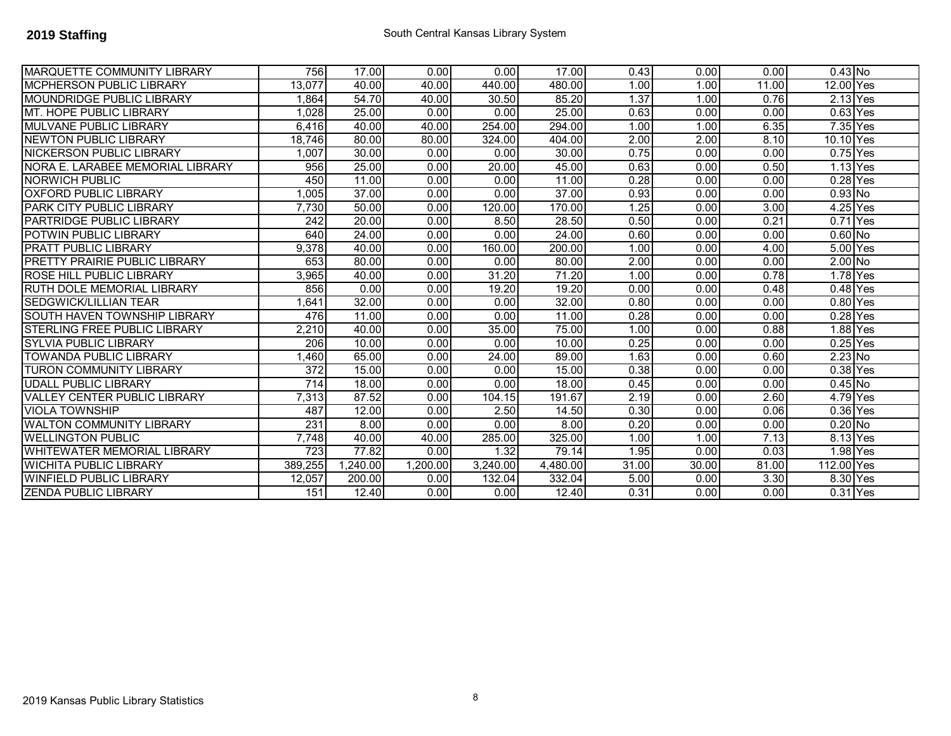| <b>MARQUETTE COMMUNITY LIBRARY</b>   | 756     | 17.00   | 0.00     | 0.00     | 17.00    | 0.43  | 0.00  | 0.00  | $0.43$ No             |  |
|--------------------------------------|---------|---------|----------|----------|----------|-------|-------|-------|-----------------------|--|
| <b>MCPHERSON PUBLIC LIBRARY</b>      | 13,077  | 40.00   | 40.00    | 440.00   | 480.00   | 1.00  | 1.00  | 11.00 | 12.00 Yes             |  |
| <b>MOUNDRIDGE PUBLIC LIBRARY</b>     | 1.864   | 54.70   | 40.00    | 30.50    | 85.20    | 1.37  | 1.00  | 0.76  | $2.13$ Yes            |  |
| <b>MT. HOPE PUBLIC LIBRARY</b>       | 1.028   | 25.00   | 0.00     | 0.00     | 25.00    | 0.63  | 0.00  | 0.00  | 0.63 Yes              |  |
| <b>MULVANE PUBLIC LIBRARY</b>        | 6.416   | 40.00   | 40.00    | 254.00   | 294.00   | 1.00  | 1.00  | 6.35  | 7.35 Yes              |  |
| <b>NEWTON PUBLIC LIBRARY</b>         | 18.746  | 80.00   | 80.00    | 324.00   | 404.00   | 2.00  | 2.00  | 8.10  | 10.10 Yes             |  |
| NICKERSON PUBLIC LIBRARY             | 1.007   | 30.00   | 0.00     | 0.00     | 30.00    | 0.75  | 0.00  | 0.00  | $0.75$ Yes            |  |
| NORA E. LARABEE MEMORIAL LIBRARY     | 956     | 25.00   | 0.00     | 20.00    | 45.00    | 0.63  | 0.00  | 0.50  | $1.13$ Yes            |  |
| <b>NORWICH PUBLIC</b>                | 450     | 11.00   | 0.00     | 0.00     | 11.00    | 0.28  | 0.00  | 0.00  | 0.28 Yes              |  |
| <b>OXFORD PUBLIC LIBRARY</b>         | 1,005   | 37.00   | 0.00     | 0.00     | 37.00    | 0.93  | 0.00  | 0.00  | 0.93 No               |  |
| <b>PARK CITY PUBLIC LIBRARY</b>      | 7,730   | 50.00   | 0.00     | 120.00   | 170.00   | 1.25  | 0.00  | 3.00  | $4.25$ Yes            |  |
| PARTRIDGE PUBLIC LIBRARY             | 242     | 20.00   | 0.00     | 8.50     | 28.50    | 0.50  | 0.00  | 0.21  | $\overline{0.71}$ Yes |  |
| POTWIN PUBLIC LIBRARY                | 640     | 24.00   | 0.00     | 0.00     | 24.00    | 0.60  | 0.00  | 0.00  | $0.60$ No             |  |
| <b>PRATT PUBLIC LIBRARY</b>          | 9.378   | 40.00   | 0.00     | 160.00   | 200.00   | 1.00  | 0.00  | 4.00  | 5.00 Yes              |  |
| <b>PRETTY PRAIRIE PUBLIC LIBRARY</b> | 653     | 80.00   | 0.00     | 0.00     | 80.00    | 2.00  | 0.00  | 0.00  | 2.00 No               |  |
| <b>ROSE HILL PUBLIC LIBRARY</b>      | 3,965   | 40.00   | 0.00     | 31.20    | 71.20    | 1.00  | 0.00  | 0.78  | 1.78 Yes              |  |
| RUTH DOLE MEMORIAL LIBRARY           | 856     | 0.00    | 0.00     | 19.20    | 19.20    | 0.00  | 0.00  | 0.48  | $0.48$ Yes            |  |
| <b>SEDGWICK/LILLIAN TEAR</b>         | .641    | 32.00   | 0.00     | 0.00     | 32.00    | 0.80  | 0.00  | 0.00  | $0.80$ Yes            |  |
| <b>SOUTH HAVEN TOWNSHIP LIBRARY</b>  | 476     | 11.00   | 0.00     | 0.00     | 11.00    | 0.28  | 0.00  | 0.00  | $0.28$ Yes            |  |
| <b>STERLING FREE PUBLIC LIBRARY</b>  | 2.210   | 40.00   | 0.00     | 35.00    | 75.00    | 1.00  | 0.00  | 0.88  | $1.88$ Yes            |  |
| ISYLVIA PUBLIC LIBRARY               | 206     | 10.00   | 0.00     | 0.00     | 10.00    | 0.25  | 0.00  | 0.00  | $0.25$ Yes            |  |
| <b>TOWANDA PUBLIC LIBRARY</b>        | ,460    | 65.00   | 0.00     | 24.00    | 89.00    | 1.63  | 0.00  | 0.60  | 2.23 No               |  |
| <b>TURON COMMUNITY LIBRARY</b>       | 372     | 15.00   | 0.00     | 0.00     | 15.00    | 0.38  | 0.00  | 0.00  | 0.38 Yes              |  |
| <b>UDALL PUBLIC LIBRARY</b>          | 714     | 18.00   | 0.00     | 0.00     | 18.00    | 0.45  | 0.00  | 0.00  | $0.45$ No             |  |
| <b>VALLEY CENTER PUBLIC LIBRARY</b>  | 7,313   | 87.52   | 0.00     | 104.15   | 191.67   | 2.19  | 0.00  | 2.60  | 4.79 Yes              |  |
| <b>VIOLA TOWNSHIP</b>                | 487     | 12.00   | 0.00     | 2.50     | 14.50    | 0.30  | 0.00  | 0.06  | 0.36 Yes              |  |
| <b>WALTON COMMUNITY LIBRARY</b>      | 231     | 8.00    | 0.00     | 0.00     | 8.00     | 0.20  | 0.00  | 0.00  | $0.20$ No             |  |
| <b>WELLINGTON PUBLIC</b>             | 7.748   | 40.00   | 40.00    | 285.00   | 325.00   | 1.00  | 1.00  | 7.13  | 8.13 Yes              |  |
| WHITEWATER MEMORIAL LIBRARY          | 723     | 77.82   | 0.00     | 1.32     | 79.14    | 1.95  | 0.00  | 0.03  | 1.98 Yes              |  |
| <b>WICHITA PUBLIC LIBRARY</b>        | 389,255 | .240.00 | 1.200.00 | 3,240.00 | 4,480.00 | 31.00 | 30.00 | 81.00 | 112.00 Yes            |  |
| <b>WINFIELD PUBLIC LIBRARY</b>       | 12,057  | 200.00  | 0.00     | 132.04   | 332.04   | 5.00  | 0.00  | 3.30  | 8.30 Yes              |  |
| <b>ZENDA PUBLIC LIBRARY</b>          | 151     | 12.40   | 0.00     | 0.00     | 12.40    | 0.31  | 0.00  | 0.00  | $0.31$ Yes            |  |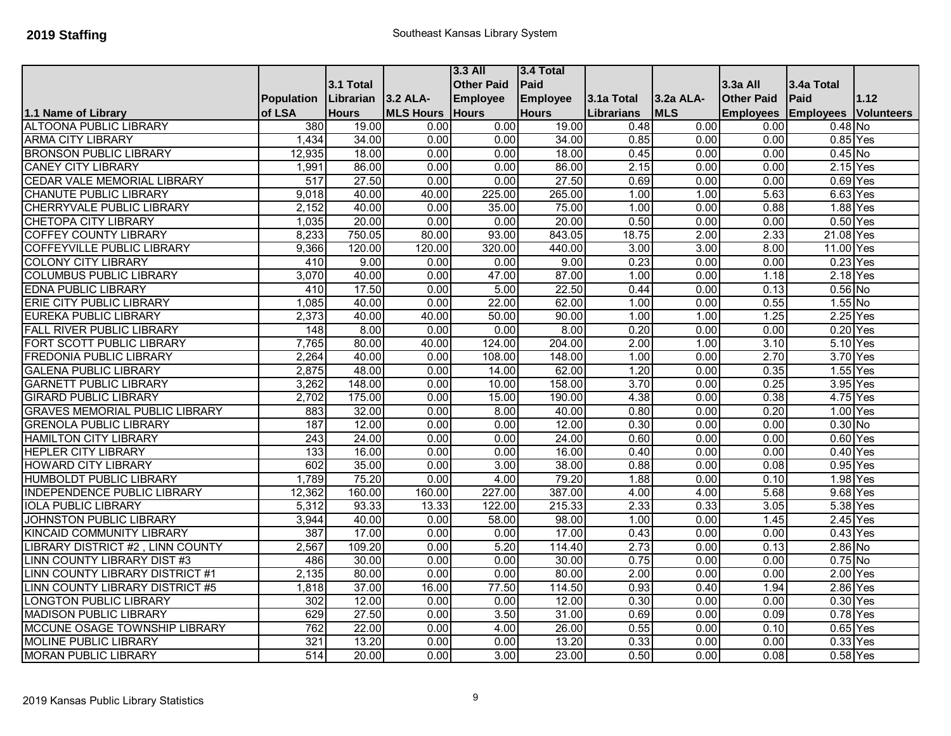|                                        |                   |              |                  | $3.3$ All         | 3.4 Total       |            |            |                   |                  |                   |
|----------------------------------------|-------------------|--------------|------------------|-------------------|-----------------|------------|------------|-------------------|------------------|-------------------|
|                                        |                   | 3.1 Total    |                  | <b>Other Paid</b> | Paid            |            |            | 3.3a All          | 3.4a Total       |                   |
|                                        | <b>Population</b> | Librarian    | 3.2 ALA-         | <b>Employee</b>   | <b>Employee</b> | 3.1a Total | 3.2a ALA-  | <b>Other Paid</b> | Paid             | 1.12              |
| 1.1 Name of Library                    | of LSA            | <b>Hours</b> | <b>MLS Hours</b> | <b>Hours</b>      | <b>Hours</b>    | Librarians | <b>MLS</b> | <b>Employees</b>  | <b>Employees</b> | <b>Volunteers</b> |
| <b>ALTOONA PUBLIC LIBRARY</b>          | 380               | 19.00        | 0.00             | 0.00              | 19.00           | 0.48       | 0.00       | 0.00              | $0.48$ No        |                   |
| <b>ARMA CITY LIBRARY</b>               | 1,434             | 34.00        | 0.00             | 0.00              | 34.00           | 0.85       | 0.00       | 0.00              | 0.85 Yes         |                   |
| <b>BRONSON PUBLIC LIBRARY</b>          | 12,935            | 18.00        | 0.00             | 0.00              | 18.00           | 0.45       | 0.00       | 0.00              | $0.45$ No        |                   |
| <b>CANEY CITY LIBRARY</b>              | 1,991             | 86.00        | 0.00             | 0.00              | 86.00           | 2.15       | 0.00       | 0.00              | $2.15$ Yes       |                   |
| <b>CEDAR VALE MEMORIAL LIBRARY</b>     | $\overline{517}$  | 27.50        | 0.00             | 0.00              | 27.50           | 0.69       | 0.00       | 0.00              | 0.69 Yes         |                   |
| <b>CHANUTE PUBLIC LIBRARY</b>          | 9,018             | 40.00        | 40.00            | 225.00            | 265.00          | 1.00       | 1.00       | 5.63              | 6.63 Yes         |                   |
| <b>CHERRYVALE PUBLIC LIBRARY</b>       | 2,152             | 40.00        | 0.00             | 35.00             | 75.00           | 1.00       | 0.00       | 0.88              | 1.88 Yes         |                   |
| <b>CHETOPA CITY LIBRARY</b>            | 1,035             | 20.00        | 0.00             | 0.00              | 20.00           | 0.50       | 0.00       | 0.00              | $0.50$ Yes       |                   |
| <b>COFFEY COUNTY LIBRARY</b>           | 8,233             | 750.05       | 80.00            | 93.00             | 843.05          | 18.75      | 2.00       | 2.33              | 21.08 Yes        |                   |
| <b>COFFEYVILLE PUBLIC LIBRARY</b>      | 9,366             | 120.00       | 120.00           | 320.00            | 440.00          | 3.00       | 3.00       | 8.00              | 11.00 Yes        |                   |
| <b>COLONY CITY LIBRARY</b>             | 410               | 9.00         | 0.00             | 0.00              | 9.00            | 0.23       | 0.00       | 0.00              | $0.23$ Yes       |                   |
| <b>COLUMBUS PUBLIC LIBRARY</b>         | 3,070             | 40.00        | 0.00             | 47.00             | 87.00           | 1.00       | 0.00       | 1.18              | $2.18$ Yes       |                   |
| <b>EDNA PUBLIC LIBRARY</b>             | 410               | 17.50        | 0.00             | 5.00              | 22.50           | 0.44       | 0.00       | 0.13              | $0.56$ No        |                   |
| ERIE CITY PUBLIC LIBRARY               | 1,085             | 40.00        | 0.00             | 22.00             | 62.00           | 1.00       | 0.00       | 0.55              | $1.55$ No        |                   |
| <b>EUREKA PUBLIC LIBRARY</b>           | 2,373             | 40.00        | 40.00            | 50.00             | 90.00           | 1.00       | 1.00       | 1.25              | $2.25$ Yes       |                   |
| <b>FALL RIVER PUBLIC LIBRARY</b>       | 148               | 8.00         | 0.00             | 0.00              | 8.00            | 0.20       | 0.00       | 0.00              | $0.20$ Yes       |                   |
| FORT SCOTT PUBLIC LIBRARY              | 7,765             | 80.00        | 40.00            | 124.00            | 204.00          | 2.00       | 1.00       | 3.10              | 5.10 Yes         |                   |
| <b>FREDONIA PUBLIC LIBRARY</b>         | 2,264             | 40.00        | 0.00             | 108.00            | 148.00          | 1.00       | 0.00       | 2.70              | 3.70 Yes         |                   |
| <b>GALENA PUBLIC LIBRARY</b>           | 2,875             | 48.00        | 0.00             | 14.00             | 62.00           | 1.20       | 0.00       | 0.35              | 1.55 Yes         |                   |
| <b>GARNETT PUBLIC LIBRARY</b>          | 3,262             | 148.00       | 0.00             | 10.00             | 158.00          | 3.70       | 0.00       | 0.25              | 3.95 Yes         |                   |
| <b>GIRARD PUBLIC LIBRARY</b>           | 2,702             | 175.00       | 0.00             | 15.00             | 190.00          | 4.38       | 0.00       | 0.38              | 4.75 Yes         |                   |
| <b>GRAVES MEMORIAL PUBLIC LIBRARY</b>  | 883               | 32.00        | 0.00             | 8.00              | 40.00           | 0.80       | 0.00       | 0.20              | 1.00 Yes         |                   |
| <b>GRENOLA PUBLIC LIBRARY</b>          | 187               | 12.00        | 0.00             | 0.00              | 12.00           | 0.30       | 0.00       | 0.00              | $0.30$ No        |                   |
| <b>HAMILTON CITY LIBRARY</b>           | 243               | 24.00        | 0.00             | 0.00              | 24.00           | 0.60       | 0.00       | 0.00              | $0.60$ Yes       |                   |
| <b>HEPLER CITY LIBRARY</b>             | $\overline{133}$  | 16.00        | 0.00             | 0.00              | 16.00           | 0.40       | 0.00       | 0.00              | $0.40$ Yes       |                   |
| <b>HOWARD CITY LIBRARY</b>             | 602               | 35.00        | 0.00             | 3.00              | 38.00           | 0.88       | 0.00       | 0.08              | 0.95 Yes         |                   |
| <b>HUMBOLDT PUBLIC LIBRARY</b>         | 1,789             | 75.20        | 0.00             | 4.00              | 79.20           | 1.88       | 0.00       | 0.10              | 1.98 Yes         |                   |
| INDEPENDENCE PUBLIC LIBRARY            | 12,362            | 160.00       | 160.00           | 227.00            | 387.00          | 4.00       | 4.00       | 5.68              | 9.68 Yes         |                   |
| <b>IOLA PUBLIC LIBRARY</b>             | 5,312             | 93.33        | 13.33            | 122.00            | 215.33          | 2.33       | 0.33       | 3.05              | 5.38 Yes         |                   |
| <b>JOHNSTON PUBLIC LIBRARY</b>         | 3,944             | 40.00        | 0.00             | 58.00             | 98.00           | 1.00       | 0.00       | 1.45              | $2.45$ Yes       |                   |
| <b>KINCAID COMMUNITY LIBRARY</b>       | 387               | 17.00        | 0.00             | 0.00              | 17.00           | 0.43       | 0.00       | 0.00              | $0.43$ Yes       |                   |
| <b>IBRARY DISTRICT #2, LINN COUNTY</b> | 2,567             | 109.20       | 0.00             | 5.20              | 114.40          | 2.73       | 0.00       | 0.13              | 2.86 No          |                   |
| <b>LINN COUNTY LIBRARY DIST #3</b>     | 486               | 30.00        | 0.00             | 0.00              | 30.00           | 0.75       | 0.00       | 0.00              | $0.75$ No        |                   |
| LINN COUNTY LIBRARY DISTRICT #1        | 2,135             | 80.00        | 0.00             | 0.00              | 80.00           | 2.00       | 0.00       | 0.00              | 2.00 Yes         |                   |
| <b>INN COUNTY LIBRARY DISTRICT #5</b>  | 1,818             | 37.00        | 16.00            | 77.50             | 114.50          | 0.93       | 0.40       | 1.94              | 2.86 Yes         |                   |
| <b>LONGTON PUBLIC LIBRARY</b>          | 302               | 12.00        | 0.00             | 0.00              | 12.00           | 0.30       | 0.00       | 0.00              | 0.30 Yes         |                   |
| <b>MADISON PUBLIC LIBRARY</b>          | 629               | 27.50        | 0.00             | 3.50              | 31.00           | 0.69       | 0.00       | 0.09              | $0.78$ Yes       |                   |
| MCCUNE OSAGE TOWNSHIP LIBRARY          | 762               | 22.00        | 0.00             | 4.00              | 26.00           | 0.55       | 0.00       | 0.10              | $0.65$ Yes       |                   |
| <b>MOLINE PUBLIC LIBRARY</b>           | 321               | 13.20        | 0.00             | 0.00              | 13.20           | 0.33       | 0.00       | 0.00              | 0.33             | Yes               |
| <b>MORAN PUBLIC LIBRARY</b>            | 514               | 20.00        | 0.00             | 3.00              | 23.00           | 0.50       | 0.00       | 0.08              | $0.58$ Yes       |                   |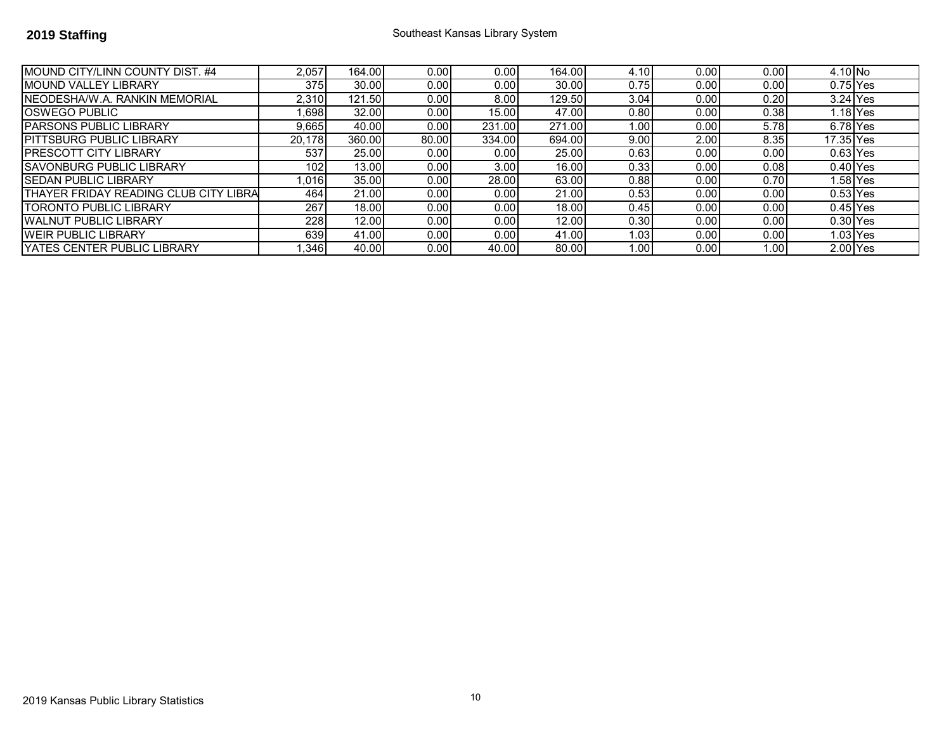| MOUND CITY/LINN COUNTY DIST. #4        | 2,057  | 164.00 | 0.00  | 0.00   | 164.00 | 4.10 | 0.00 | 0.00 | 4.10 No    |           |
|----------------------------------------|--------|--------|-------|--------|--------|------|------|------|------------|-----------|
| <b>IMOUND VALLEY LIBRARY</b>           | 375    | 30.00  | 0.00  | 0.00   | 30.00  | 0.75 | 0.00 | 0.00 | $0.75$ Yes |           |
| INEODESHA/W.A. RANKIN MEMORIAL         | 2,310  | 121.50 | 0.00  | 8.00   | 129.50 | 3.04 | 0.00 | 0.20 | $3.24$ Yes |           |
| <b>IOSWEGO PUBLIC</b>                  | .698   | 32.00  | 0.00  | 15.00  | 47.00  | 0.80 | 0.00 | 0.38 |            | $.18$ Yes |
| <b>IPARSONS PUBLIC LIBRARY</b>         | 9.665  | 40.00  | 0.00  | 231.00 | 271.00 | 1.00 | 0.00 | 5.78 | $6.78$ Yes |           |
| <b>IPITTSBURG PUBLIC LIBRARY</b>       | 20.178 | 360.00 | 80.00 | 334.00 | 694.00 | 9.00 | 2.00 | 8.35 | 17.35 Yes  |           |
| IPRESCOTT CITY LIBRARY                 | 537    | 25.00  | 0.00  | 0.00   | 25.00  | 0.63 | 0.00 | 0.00 | $0.63$ Yes |           |
| <b>ISAVONBURG PUBLIC LIBRARY</b>       | 102    | 13.00  | 0.00  | 3.00   | 16.00  | 0.33 | 0.00 | 0.08 | $0.40$ Yes |           |
| <b>ISEDAN PUBLIC LIBRARY</b>           | .016   | 35.00  | 0.00  | 28.00  | 63.00  | 0.88 | 0.00 | 0.70 |            | 1.58 Yes  |
| ITHAYER FRIDAY READING CLUB CITY LIBRA | 464    | 21.00  | 0.00  | 0.00   | 21.00  | 0.53 | 0.00 | 0.00 | $0.53$ Yes |           |
| ITORONTO PUBLIC LIBRARY                | 267    | 18.00  | 0.00  | 0.00   | 18.00  | 0.45 | 0.00 | 0.00 | $0.45$ Yes |           |
| <b>IWALNUT PUBLIC LIBRARY</b>          | 228    | 12.00  | 0.00  | 0.00   | 12.00  | 0.30 | 0.00 | 0.00 | $0.30$ Yes |           |
| <b>IWEIR PUBLIC LIBRARY</b>            | 639    | 41.00  | 0.00  | 0.00   | 41.00  | 1.03 | 0.00 | 0.00 |            | 1.03 Yes  |
| <b>IYATES CENTER PUBLIC LIBRARY</b>    | .346   | 40.00  | 0.00  | 40.00  | 80.00  | 1.00 | 0.00 | .00  | $2.00$ Yes |           |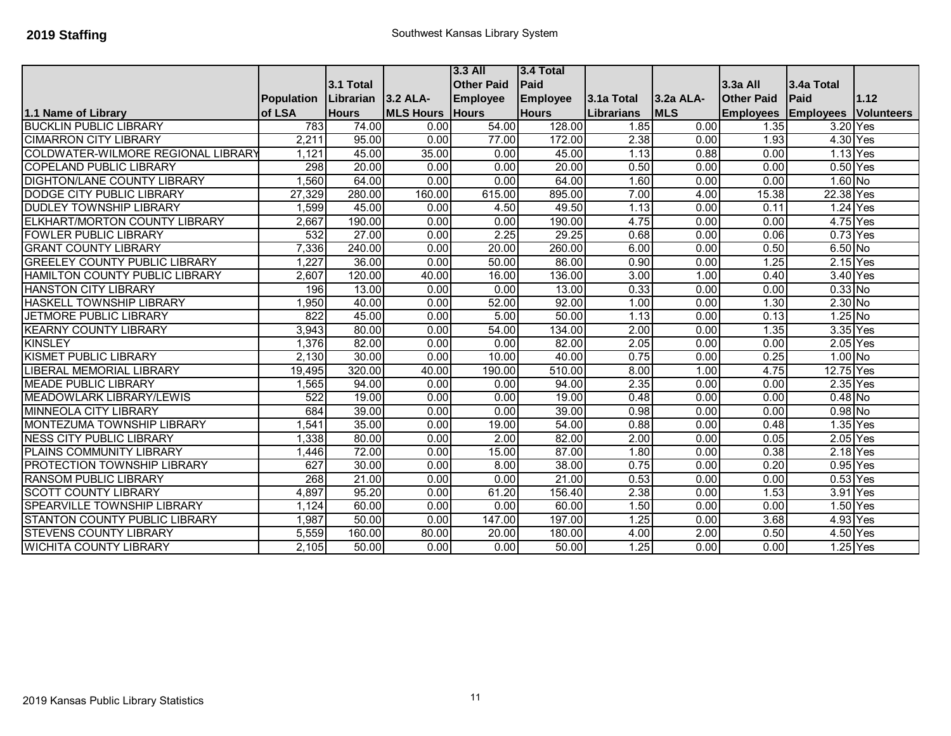|                                           |                   |              |                  | $3.3$ All         | 3.4 Total    |            |            |                   |                  |            |
|-------------------------------------------|-------------------|--------------|------------------|-------------------|--------------|------------|------------|-------------------|------------------|------------|
|                                           |                   | 3.1 Total    |                  | <b>Other Paid</b> | Paid         |            |            | $3.3a$ All        | 3.4a Total       |            |
|                                           | <b>Population</b> | Librarian    | $3.2$ ALA-       | <b>Employee</b>   | Employee     | 3.1a Total | 3.2a ALA-  | <b>Other Paid</b> | Paid             | 1.12       |
| 1.1 Name of Library                       | of LSA            | <b>Hours</b> | <b>MLS Hours</b> | <b>Hours</b>      | <b>Hours</b> | Librarians | <b>MLS</b> | <b>Employees</b>  | <b>Employees</b> | Volunteers |
| <b>BUCKLIN PUBLIC LIBRARY</b>             | 783               | 74.00        | 0.00             | 54.00             | 128.00       | 1.85       | 0.00       | 1.35              | 3.20 Yes         |            |
| <b>CIMARRON CITY LIBRARY</b>              | 2,211             | 95.00        | 0.00             | 77.00             | 172.00       | 2.38       | 0.00       | 1.93              | 4.30 Yes         |            |
| <b>COLDWATER-WILMORE REGIONAL LIBRARY</b> | 1,121             | 45.00        | 35.00            | 0.00              | 45.00        | 1.13       | 0.88       | 0.00              | 1.13 Yes         |            |
| <b>COPELAND PUBLIC LIBRARY</b>            | 298               | 20.00        | 0.00             | 0.00              | 20.00        | 0.50       | 0.00       | 0.00              | $0.50$ Yes       |            |
| <b>DIGHTON/LANE COUNTY LIBRARY</b>        | 1,560             | 64.00        | 0.00             | 0.00              | 64.00        | 1.60       | 0.00       | 0.00              | $1.60$ No        |            |
| <b>DODGE CITY PUBLIC LIBRARY</b>          | 27,329            | 280.00       | 160.00           | 615.00            | 895.00       | 7.00       | 4.00       | 15.38             | 22.38 Yes        |            |
| <b>DUDLEY TOWNSHIP LIBRARY</b>            | 1,599             | 45.00        | 0.00             | 4.50              | 49.50        | 1.13       | 0.00       | 0.11              | 1.24 Yes         |            |
| ELKHART/MORTON COUNTY LIBRARY             | 2,667             | 190.00       | 0.00             | 0.00              | 190.00       | 4.75       | 0.00       | 0.00              | 4.75 Yes         |            |
| <b>FOWLER PUBLIC LIBRARY</b>              | 532               | 27.00        | 0.00             | 2.25              | 29.25        | 0.68       | 0.00       | 0.06              | $0.73$ Yes       |            |
| <b>GRANT COUNTY LIBRARY</b>               | 7,336             | 240.00       | 0.00             | 20.00             | 260.00       | 6.00       | 0.00       | 0.50              | $6.50$ No        |            |
| <b>GREELEY COUNTY PUBLIC LIBRARY</b>      | 1,227             | 36.00        | 0.00             | 50.00             | 86.00        | 0.90       | 0.00       | 1.25              | $2.15$ Yes       |            |
| HAMILTON COUNTY PUBLIC LIBRARY            | 2,607             | 120.00       | 40.00            | 16.00             | 136.00       | 3.00       | 1.00       | 0.40              | 3.40 Yes         |            |
| <b>HANSTON CITY LIBRARY</b>               | 196               | 13.00        | 0.00             | 0.00              | 13.00        | 0.33       | 0.00       | 0.00              | $0.33$ No        |            |
| <b>HASKELL TOWNSHIP LIBRARY</b>           | 1,950             | 40.00        | 0.00             | 52.00             | 92.00        | 1.00       | 0.00       | 1.30              | $2.30$ No        |            |
| <b>JETMORE PUBLIC LIBRARY</b>             | $\overline{822}$  | 45.00        | 0.00             | 5.00              | 50.00        | 1.13       | 0.00       | 0.13              | $1.25$ No        |            |
| <b>KEARNY COUNTY LIBRARY</b>              | 3,943             | 80.00        | 0.00             | 54.00             | 134.00       | 2.00       | 0.00       | 1.35              | 3.35 Yes         |            |
| <b>KINSLEY</b>                            | 1,376             | 82.00        | 0.00             | 0.00              | 82.00        | 2.05       | 0.00       | 0.00              | 2.05 Yes         |            |
| <b>KISMET PUBLIC LIBRARY</b>              | 2,130             | 30.00        | 0.00             | 10.00             | 40.00        | 0.75       | 0.00       | 0.25              | $1.00$ No        |            |
| <b>IBERAL MEMORIAL LIBRARY</b>            | 19,495            | 320.00       | 40.00            | 190.00            | 510.00       | 8.00       | 1.00       | 4.75              | 12.75 Yes        |            |
| <b>MEADE PUBLIC LIBRARY</b>               | 1,565             | 94.00        | 0.00             | 0.00              | 94.00        | 2.35       | 0.00       | 0.00              | $2.35$ Yes       |            |
| <b>MEADOWLARK LIBRARY/LEWIS</b>           | 522               | 19.00        | 0.00             | 0.00              | 19.00        | 0.48       | 0.00       | 0.00              | $0.48$ No        |            |
| <b>MINNEOLA CITY LIBRARY</b>              | 684               | 39.00        | 0.00             | 0.00              | 39.00        | 0.98       | 0.00       | 0.00              | $0.98$ No        |            |
| MONTEZUMA TOWNSHIP LIBRARY                | 1,541             | 35.00        | 0.00             | 19.00             | 54.00        | 0.88       | 0.00       | 0.48              | 1.35 Yes         |            |
| <b>NESS CITY PUBLIC LIBRARY</b>           | 1,338             | 80.00        | 0.00             | 2.00              | 82.00        | 2.00       | 0.00       | 0.05              | 2.05 Yes         |            |
| PLAINS COMMUNITY LIBRARY                  | 1,446             | 72.00        | 0.00             | 15.00             | 87.00        | 1.80       | 0.00       | 0.38              | 2.18 Yes         |            |
| <b>PROTECTION TOWNSHIP LIBRARY</b>        | 627               | 30.00        | 0.00             | 8.00              | 38.00        | 0.75       | 0.00       | 0.20              | 0.95 Yes         |            |
| <b>RANSOM PUBLIC LIBRARY</b>              | 268               | 21.00        | 0.00             | 0.00              | 21.00        | 0.53       | 0.00       | 0.00              | $0.53$ Yes       |            |
| <b>SCOTT COUNTY LIBRARY</b>               | 4,897             | 95.20        | 0.00             | 61.20             | 156.40       | 2.38       | 0.00       | 1.53              | 3.91 Yes         |            |
| <b>SPEARVILLE TOWNSHIP LIBRARY</b>        | 1,124             | 60.00        | 0.00             | 0.00              | 60.00        | 1.50       | 0.00       | 0.00              | 1.50 Yes         |            |
| <b>STANTON COUNTY PUBLIC LIBRARY</b>      | 1,987             | 50.00        | 0.00             | 147.00            | 197.00       | 1.25       | 0.00       | 3.68              | 4.93 Yes         |            |
| <b>STEVENS COUNTY LIBRARY</b>             | 5,559             | 160.00       | 80.00            | 20.00             | 180.00       | 4.00       | 2.00       | 0.50              | 4.50 Yes         |            |
| <b>WICHITA COUNTY LIBRARY</b>             | 2,105             | 50.00        | 0.00             | 0.00              | 50.00        | 1.25       | 0.00       | 0.00              | 1.25 Yes         |            |